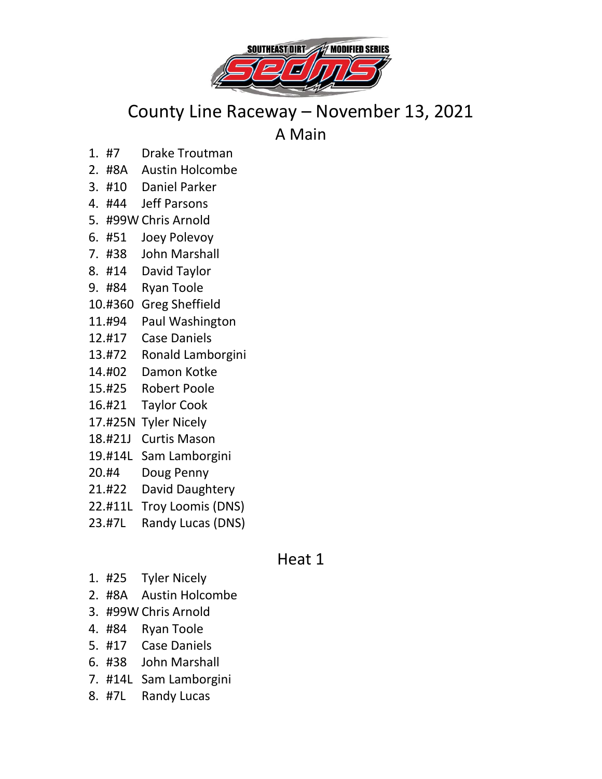

## County Line Raceway – November 13, 2021

A Main

- 1. #7 Drake Troutman
- 2. #8A Austin Holcombe
- 3. #10 Daniel Parker
- 4. #44 Jeff Parsons
- 5. #99W Chris Arnold
- 6. #51 Joey Polevoy
- 7. #38 John Marshall
- 8. #14 David Taylor
- 9. #84 Ryan Toole
- 10.#360 Greg Sheffield
- 11.#94 Paul Washington
- 12.#17 Case Daniels
- 13.#72 Ronald Lamborgini
- 14.#02 Damon Kotke
- 15.#25 Robert Poole
- 16.#21 Taylor Cook
- 17.#25N Tyler Nicely
- 18.#21J Curtis Mason
- 19.#14L Sam Lamborgini
- 20.#4 Doug Penny
- 21.#22 David Daughtery
- 22.#11L Troy Loomis (DNS)
- 23.#7L Randy Lucas (DNS)

## Heat 1

- 1. #25 Tyler Nicely
- 2. #8A Austin Holcombe
- 3. #99W Chris Arnold
- 4. #84 Ryan Toole
- 5. #17 Case Daniels
- 6. #38 John Marshall
- 7. #14L Sam Lamborgini
- 8. #7L Randy Lucas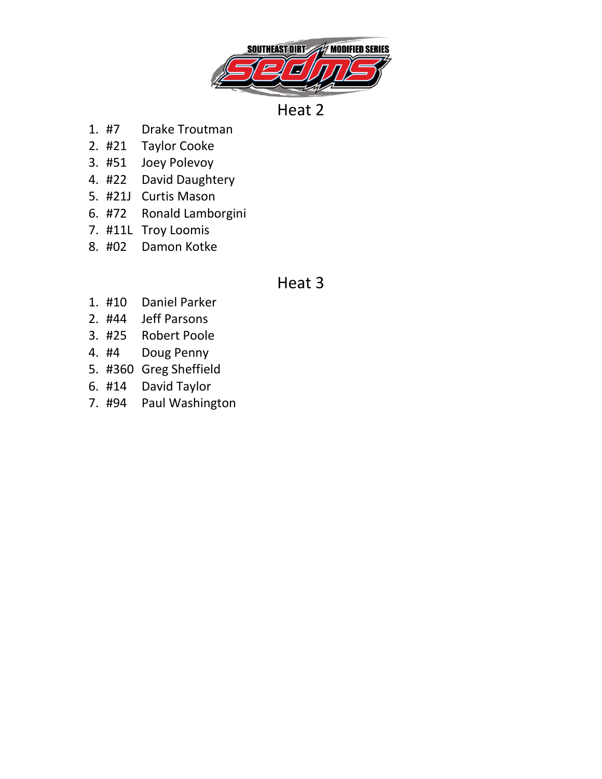

Heat 2

- 1. #7 Drake Troutman
- 2. #21 Taylor Cooke
- 3. #51 Joey Polevoy
- 4. #22 David Daughtery
- 5. #21J Curtis Mason
- 6. #72 Ronald Lamborgini
- 7. #11L Troy Loomis
- 8. #02 Damon Kotke

## Heat 3

- 1. #10 Daniel Parker
- 2. #44 Jeff Parsons
- 3. #25 Robert Poole
- 4. #4 Doug Penny
- 5. #360 Greg Sheffield
- 6. #14 David Taylor
- 7. #94 Paul Washington